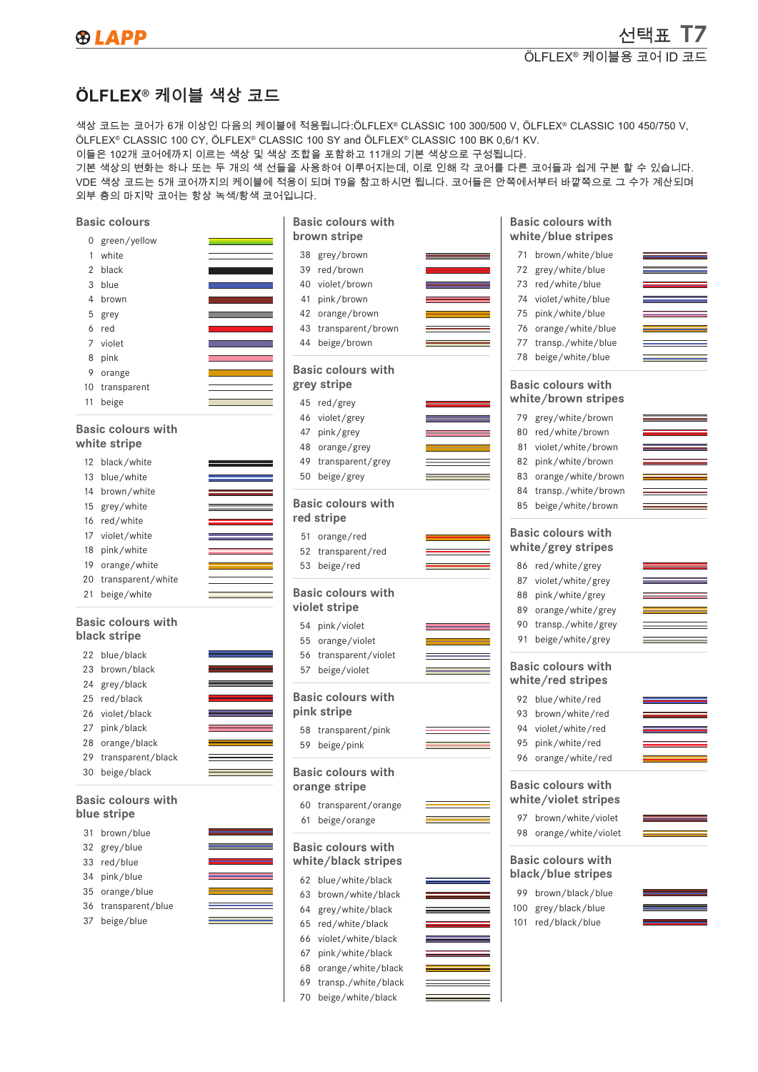선택표 T7

## **ÖLFLEX® 케이블 색상 코드**

색상 코드는 코어가 6개 이상인 다음의 케이블에 적용됩니다:ÖLFLEX® CLASSIC 100 300/500 V, ÖLFLEX® CLASSIC 100 450/750 V, ÖLFLEX® CLASSIC 100 CY, ÖLFLEX® CLASSIC 100 SY and ÖLFLEX® CLASSIC 100 BK 0,6/1 KV.

이들은 102개 코어에까지 이르는 색상 및 색상 조합을 포함하고 11개의 기본 색상으로 구성됩니다.

기본 색상의 변화는 하나 또는 두 개의 색 선들을 사용하여 이루어지는데, 이로 인해 각 코어를 다른 코어들과 쉽게 구분 할 수 있습니다. VDE 색상 코드는 5개 코어까지의 케이블에 적용이 되며 T9을 참고하시면 됩니다. 코어들은 안쪽에서부터 바깥쪽으로 그 수가 계산되며 외부 층의 마지막 코어는 항상 녹색/황색 코어입니다.